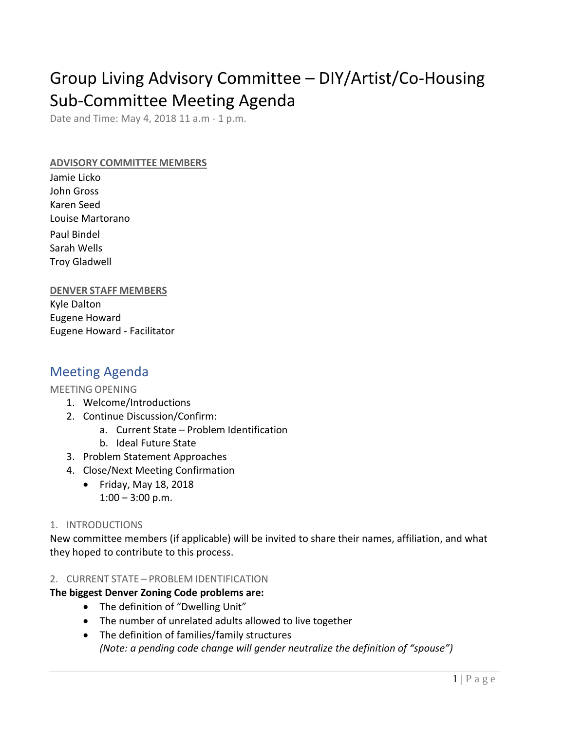# Group Living Advisory Committee – DIY/Artist/Co-Housing Sub-Committee Meeting Agenda

Date and Time: May 4, 2018 11 a.m - 1 p.m.

### **ADVISORY COMMITTEE MEMBERS**

Jamie Licko John Gross Karen Seed Louise Martorano Paul Bindel Sarah Wells Troy Gladwell

## **DENVER STAFF MEMBERS**

Kyle Dalton Eugene Howard Eugene Howard - Facilitator

# Meeting Agenda

### MEETING OPENING

- 1. Welcome/Introductions
- 2. Continue Discussion/Confirm:
	- a. Current State Problem Identification
	- b. Ideal Future State
- 3. Problem Statement Approaches
- 4. Close/Next Meeting Confirmation
	- Friday, May 18, 2018  $1:00 - 3:00$  p.m.

### 1. INTRODUCTIONS

New committee members (if applicable) will be invited to share their names, affiliation, and what they hoped to contribute to this process.

#### 2. CURRENT STATE – PROBLEM IDENTIFICATION

# **The biggest Denver Zoning Code problems are:**

- The definition of "Dwelling Unit"
- The number of unrelated adults allowed to live together
- The definition of families/family structures *(Note: a pending code change will gender neutralize the definition of "spouse")*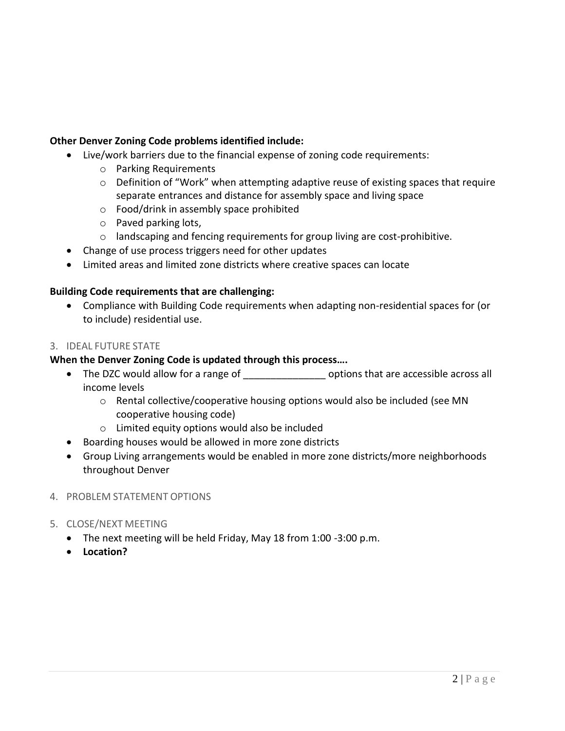# **Other Denver Zoning Code problems identified include:**

- Live/work barriers due to the financial expense of zoning code requirements:
	- o Parking Requirements
	- o Definition of "Work" when attempting adaptive reuse of existing spaces that require separate entrances and distance for assembly space and living space
	- o Food/drink in assembly space prohibited
	- o Paved parking lots,
	- $\circ$  landscaping and fencing requirements for group living are cost-prohibitive.
- Change of use process triggers need for other updates
- Limited areas and limited zone districts where creative spaces can locate

## **Building Code requirements that are challenging:**

• Compliance with Building Code requirements when adapting non-residential spaces for (or to include) residential use.

## 3. IDEAL FUTURE STATE

## **When the Denver Zoning Code is updated through this process….**

- The DZC would allow for a range of \_\_\_\_\_\_\_\_\_\_\_\_\_\_\_\_\_\_\_\_ options that are accessible across all income levels
	- o Rental collective/cooperative housing options would also be included (see MN cooperative housing code)
	- o Limited equity options would also be included
- Boarding houses would be allowed in more zone districts
- Group Living arrangements would be enabled in more zone districts/more neighborhoods throughout Denver
- 4. PROBLEM STATEMENT OPTIONS
- 5. CLOSE/NEXT MEETING
	- The next meeting will be held Friday, May 18 from 1:00 -3:00 p.m.
	- **Location?**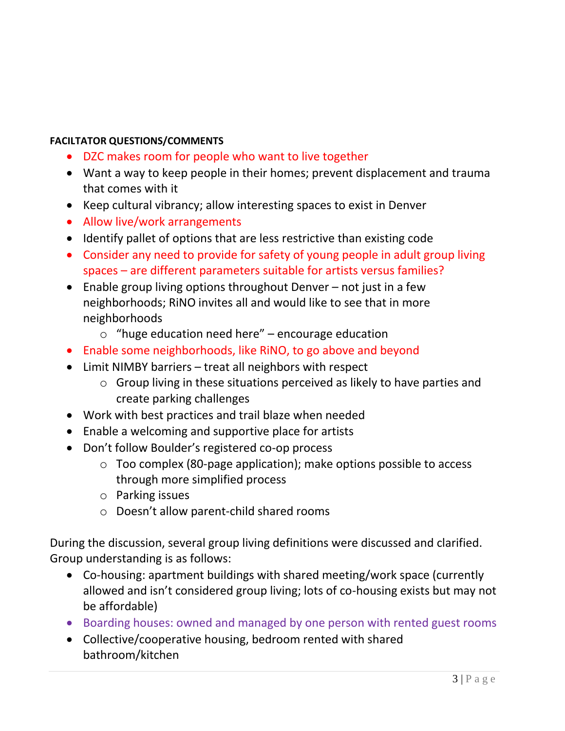# **FACILTATOR QUESTIONS/COMMENTS**

- DZC makes room for people who want to live together
- Want a way to keep people in their homes; prevent displacement and trauma that comes with it
- Keep cultural vibrancy; allow interesting spaces to exist in Denver
- Allow live/work arrangements
- Identify pallet of options that are less restrictive than existing code
- Consider any need to provide for safety of young people in adult group living spaces – are different parameters suitable for artists versus families?
- Enable group living options throughout Denver not just in a few neighborhoods; RiNO invites all and would like to see that in more neighborhoods
	- $\circ$  "huge education need here" encourage education
- Enable some neighborhoods, like RiNO, to go above and beyond
- Limit NIMBY barriers treat all neighbors with respect
	- o Group living in these situations perceived as likely to have parties and create parking challenges
- Work with best practices and trail blaze when needed
- Enable a welcoming and supportive place for artists
- Don't follow Boulder's registered co-op process
	- o Too complex (80-page application); make options possible to access through more simplified process
	- o Parking issues
	- o Doesn't allow parent-child shared rooms

During the discussion, several group living definitions were discussed and clarified. Group understanding is as follows:

- Co-housing: apartment buildings with shared meeting/work space (currently allowed and isn't considered group living; lots of co-housing exists but may not be affordable)
- Boarding houses: owned and managed by one person with rented guest rooms
- Collective/cooperative housing, bedroom rented with shared bathroom/kitchen